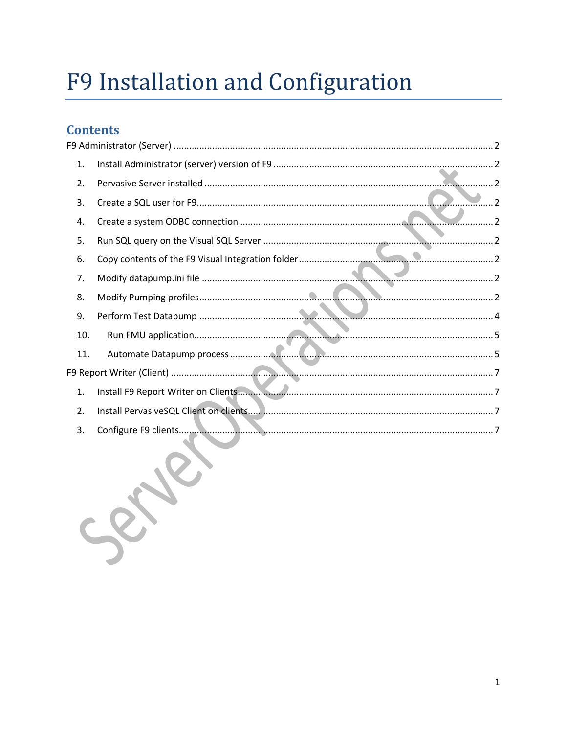# F9 Installation and Configuration

## **Contents**

| 1.  |            |
|-----|------------|
| 2.  |            |
| 3.  | $\ldots$ 2 |
| 4.  |            |
| 5.  |            |
| 6.  |            |
| 7.  |            |
| 8.  |            |
| 9.  |            |
| 10. |            |
| 11. |            |
|     |            |
| 1.  |            |
| 2.  |            |
| 3.  |            |
|     |            |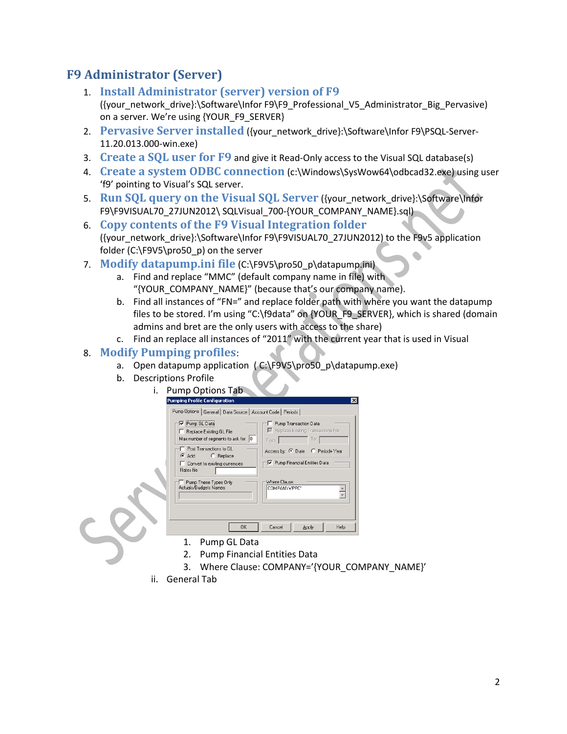## <span id="page-1-1"></span><span id="page-1-0"></span>**F9 Administrator (Server)**

- 1. **Install Administrator (server) version of F9** ({your\_network\_drive}:\Software\Infor F9\F9\_Professional\_V5\_Administrator\_Big\_Pervasive) on a server. We're using {YOUR\_F9\_SERVER}
- <span id="page-1-2"></span>2. **Pervasive Server installed** ({your\_network\_drive}:\Software\Infor F9\PSQL-Server-11.20.013.000-win.exe)
- <span id="page-1-3"></span>3. **Create a SQL user for F9** and give it Read-Only access to the Visual SQL database(s)
- <span id="page-1-4"></span>4. **Create a system ODBC connection** (c:\Windows\SysWow64\odbcad32.exe) using user 'f9' pointing to Visual's SQL server.
- <span id="page-1-5"></span>5. **Run SQL query on the Visual SQL Server** ({your\_network\_drive}:\Software\Infor F9\F9VISUAL70\_27JUN2012\ SQLVisual\_700-{YOUR\_COMPANY\_NAME}.sql)
- <span id="page-1-6"></span>6. **Copy contents of the F9 Visual Integration folder** ({your\_network\_drive}:\Software\Infor F9\F9VISUAL70\_27JUN2012) to the F9v5 application folder (C:\F9V5\pro50\_p) on the server
- <span id="page-1-7"></span>7. **Modify datapump.ini file** (C:\F9V5\pro50\_p\datapump.ini)
	- a. Find and replace "MMC" (default company name in file) with "{YOUR\_COMPANY\_NAME}" (because that's our company name).
	- b. Find all instances of "FN=" and replace folder path with where you want the datapump files to be stored. I'm using "C:\f9data" on {YOUR\_F9\_SERVER}, which is shared (domain admins and bret are the only users with access to the share)
	- c. Find an replace all instances of "2011" with the current year that is used in Visual

#### <span id="page-1-8"></span>8. **Modify Pumping profiles**:

- a. Open datapump application (C:\F9V5\pro50\_p\datapump.exe)
- b. Descriptions Profile
	- i. Pump Options Tab

| Pumping Profile Configuration                                                                         |                                                                               | $\blacksquare$ |
|-------------------------------------------------------------------------------------------------------|-------------------------------------------------------------------------------|----------------|
| Pump Options   General   Data Source   Account Code   Periods                                         |                                                                               |                |
| √ Pump GL Data<br>F Replace Existing GL File<br>Max number of segments to ask for 0                   | Pump Transaction Data<br>■ Replace Existing Transactions File<br>To:<br>From: |                |
| Post Transactions to GL<br>C Replace<br>$\bullet$ Add<br>Convert to existing currencies<br>Rates file | Access by: C Date C Period+ Year<br>V Pump Financial Entities Data            |                |
| Pump These Types Only<br>Actuals/Budgets Names:                                                       | Where Clause<br>COMPANY='PPC'                                                 |                |
| 0K                                                                                                    | Help<br>Cancel<br>Apply                                                       |                |
| A<br>$\mathbf{D}$<br><b>CL D-1</b>                                                                    |                                                                               |                |

- 1. Pump GL Data
- 2. Pump Financial Entities Data
- 3. Where Clause: COMPANY='{YOUR\_COMPANY\_NAME}'
- ii. General Tab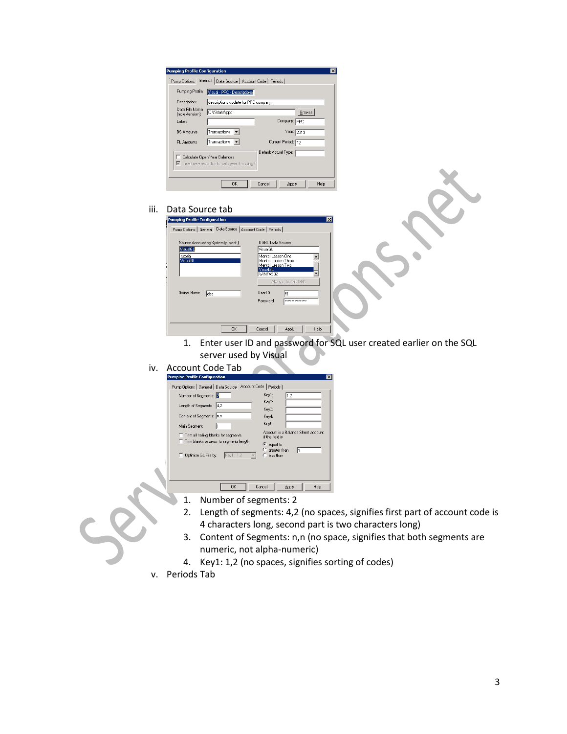| Description:                      | descriptions update for PPC company                                                                   |                      |               |  |  |
|-----------------------------------|-------------------------------------------------------------------------------------------------------|----------------------|---------------|--|--|
| Data File Name<br>(no extension): | C:\f9data\ppc                                                                                         |                      | <b>Browse</b> |  |  |
| Label:                            |                                                                                                       | Company: PPC         |               |  |  |
| <b>BS Amounts</b>                 | Transactions -                                                                                        | Year: 2013           |               |  |  |
| PL Amounts                        | Transactions -                                                                                        | Current Period: 12   |               |  |  |
| п                                 | Calculate Open Year Balances<br>$\overline{\mathbf{V}}$ Insert new records into calc year if missing? | Default Actual Type: |               |  |  |

#### iii. Data Source tab

| <b>Pumping Profile Configuration</b>                                                               | $\vert x \vert$                                                                                                                                                                               |
|----------------------------------------------------------------------------------------------------|-----------------------------------------------------------------------------------------------------------------------------------------------------------------------------------------------|
| Pump Options   General Data Source   Account Code   Periods                                        |                                                                                                                                                                                               |
| Source Accounting System (project)<br>VisualGL<br>tutorial<br>VisualGL<br><b>Nwner Name</b><br>dbo | ODBC Data Source<br>VisualGL<br>Mentor Lesson Dne<br>Mentor Lesson Three<br>Mentor Lesson Two<br>VisualGL<br>WINFAS32<br>Always Use this DSN<br>User ID<br>f9<br>Password<br>**************** |
| OK                                                                                                 | Cancel<br>Help<br>Apply                                                                                                                                                                       |

- 1. Enter user ID and password for SQL user created earlier on the SQL server used by Visual
- iv. Account Code Tab

| <b>Pumping Profile Configuration</b>                          | $\vert x \vert$                                       |
|---------------------------------------------------------------|-------------------------------------------------------|
| Pump Options   General   Data Source   Account Code   Periods |                                                       |
| Number of Segments: <b>E</b>                                  | Kev1:<br>1.2                                          |
| Length of Segments: 4,2                                       | Key2:<br>Key3:                                        |
| Content of Segments: n.n.                                     | Key4:                                                 |
| Main Segment:                                                 | Key5:                                                 |
| Trim all trailing blanks for segments                         | Account is a Balance Sheet account<br>if the field is |
| Trim blanks or zeros to segments length                       | $\epsilon$ equal to                                   |
| Key1:1,2<br>Optimize GL File by:                              | $\degree$ greater than<br>$\Box$ less than            |
|                                                               |                                                       |
|                                                               |                                                       |
| OK                                                            | Cancel<br>Help<br>Apply                               |

- 1. Number of segments: 2
- 2. Length of segments: 4,2 (no spaces, signifies first part of account code is 4 characters long, second part is two characters long)
- 3. Content of Segments: n,n (no space, signifies that both segments are numeric, not alpha-numeric)
- 4. Key1: 1,2 (no spaces, signifies sorting of codes)
- v. Periods Tab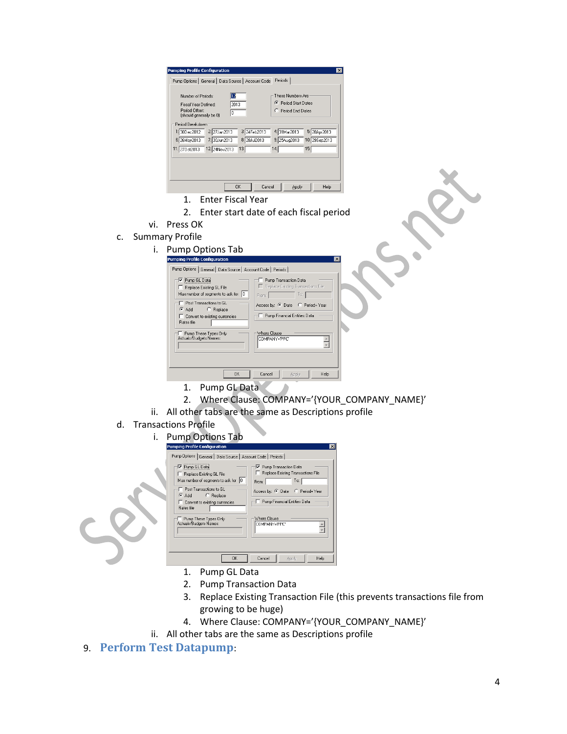| Periods<br>Pump Options   General   Data Source   Account Code<br>12<br>These Numbers Are<br>Number of Periods:<br><b>C</b> Period Start Dates<br>2013<br>Fiscal Year Defined:<br>Period Offset:<br>C. Period End Dates<br>I٥<br>(should generally be 0)<br>Period Breakdown<br>3: 24Feb2013<br>2 27Jan2013<br>4: 31Mar2013<br>5: 28Apr2013<br>1:30Dec2012 | 8: 28Jul2013<br>10: 29Sep2013<br>7: 30Jun2013<br>9: 25Aug2013<br>6: 26May2013<br>15.<br>13.<br>14:<br>11: 270 ct 2013<br>12 24Nov2013 | <b>Pumping Profile Configuration</b> | $\times$      |
|------------------------------------------------------------------------------------------------------------------------------------------------------------------------------------------------------------------------------------------------------------------------------------------------------------------------------------------------------------|---------------------------------------------------------------------------------------------------------------------------------------|--------------------------------------|---------------|
|                                                                                                                                                                                                                                                                                                                                                            |                                                                                                                                       |                                      |               |
|                                                                                                                                                                                                                                                                                                                                                            |                                                                                                                                       |                                      |               |
|                                                                                                                                                                                                                                                                                                                                                            |                                                                                                                                       |                                      |               |
|                                                                                                                                                                                                                                                                                                                                                            |                                                                                                                                       |                                      |               |
|                                                                                                                                                                                                                                                                                                                                                            |                                                                                                                                       | <b>OK</b><br>Cancel                  | Help<br>Apply |

- 1. Enter Fiscal Year
- 2. Enter start date of each fiscal period

### vi. Press OK

- c. Summary Profile
	- i. Pump Options Tab

| Pumping Profile Configuration<br>Pump Options   General   Data Source   Account Code   Periods    | $\vert x \vert$                                                               |
|---------------------------------------------------------------------------------------------------|-------------------------------------------------------------------------------|
| Pump GL Data<br>Replace Existing GL File<br>10<br>Max number of segments to ask for               | Pump Transaction Data<br>F Replace Existing Transactions File<br>To:<br>From: |
| Post Transactions to GL<br>C Add C Replace<br>Convert to existing currencies<br><b>Bates file</b> | Access by: C Date C Period+ Year<br>Pump Financial Entities Data              |
| Pump These Types Only<br>Actuals/Budgets Names:                                                   | Where Clause<br>COMPANY='PPC'                                                 |
| <b>OK</b>                                                                                         | Cancel<br>Help<br>Apply                                                       |

- 1. Pump GL Data
- 2. Where Clause: COMPANY='{YOUR\_COMPANY\_NAME}' ii. All other tabs are the same as Descriptions profile
- d. Transactions Profile
	-



- 1. Pump GL Data
- 2. Pump Transaction Data
- 3. Replace Existing Transaction File (this prevents transactions file from growing to be huge)
- 4. Where Clause: COMPANY='{YOUR\_COMPANY\_NAME}'
- ii. All other tabs are the same as Descriptions profile
- <span id="page-3-0"></span>9. **Perform Test Datapump**: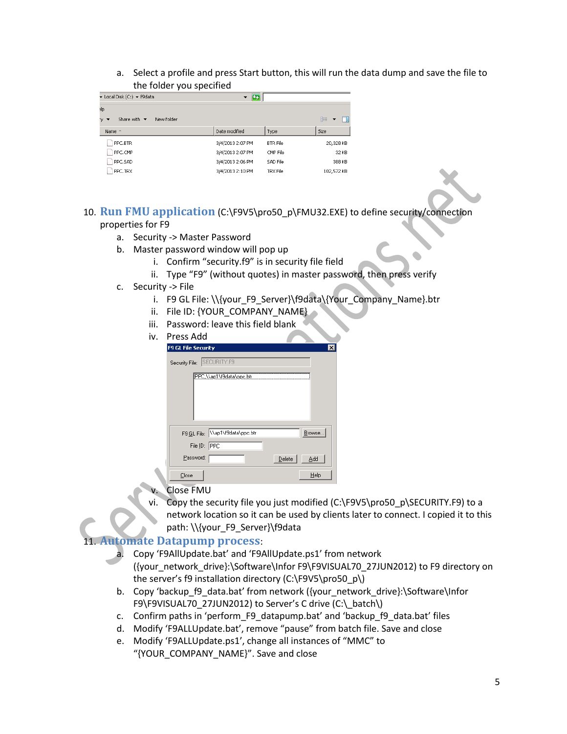a. Select a profile and press Start button, this will run the data dump and save the file to the folder you specified

| ▼ Local Disk (C:) ▼ f9data                            |                  |                 |            |
|-------------------------------------------------------|------------------|-----------------|------------|
| slp.                                                  |                  |                 |            |
| Share with $\blacktriangledown$<br>New folder<br>'y ▼ |                  |                 | 胆<br>▼     |
| Name <sup>*</sup>                                     | Date modified    | Type            | Size       |
| PPC.BTR                                               | 3/4/2013 2:07 PM | <b>BTR File</b> | 20,328 KB  |
| PPC.CMP                                               | 3/4/2013 2:07 PM | CMP File        | 32 KB      |
| PPC.SAD                                               | 3/4/2013 2:06 PM | SAD File        | 388 KB     |
| PPC.TRX                                               | 3/4/2013 2:10 PM | TRX File        | 102,572 KB |

- <span id="page-4-0"></span>10. **Run FMU application** (C:\F9V5\pro50\_p\FMU32.EXE) to define security/connection properties for F9
	- a. Security -> Master Password
	- b. Master password window will pop up
		- i. Confirm "security.f9" is in security file field
		- ii. Type "F9" (without quotes) in master password, then press verify
	- c. Security -> File
		- i. F9 GL File: \\{your\_F9\_Server}\f9data\{Your\_Company\_Name}.btr
		- ii. File ID: {YOUR\_COMPANY\_NAME}
		- iii. Password: leave this field blank

| iv. | Press Add                        |                         |
|-----|----------------------------------|-------------------------|
|     | F9 GL File Security              | $\overline{\mathbf{x}}$ |
|     | Security File: SECURITY.F9       |                         |
|     | PPC.\\ap1\f9data\ppc.btr         |                         |
|     |                                  |                         |
|     |                                  |                         |
|     |                                  |                         |
|     | F9 GL File: \\ap1\f9data\ppc.btr | Browse                  |
|     | File ID: PPC                     |                         |
|     | Password:                        | Delete<br>Add           |
|     | Close                            | Help                    |

- **Close FMU**
- Copy the security file you just modified (C:\F9V5\pro50\_p\SECURITY.F9) to a network location so it can be used by clients later to connect. I copied it to this path: \\{your\_F9\_Server}\f9data

#### <span id="page-4-1"></span>11. **Automate Datapump process**:

- a. Copy 'F9AllUpdate.bat' and 'F9AllUpdate.ps1' from network ({your\_network\_drive}:\Software\Infor F9\F9VISUAL70\_27JUN2012) to F9 directory on the server's f9 installation directory (C:\F9V5\pro50\_p\)
- b. Copy 'backup f9 data.bat' from network ({your\_network\_drive}:\Software\Infor F9\F9VISUAL70\_27JUN2012) to Server's C drive (C:\\_batch\)
- c. Confirm paths in 'perform\_F9\_datapump.bat' and 'backup\_f9\_data.bat' files
- d. Modify 'F9ALLUpdate.bat', remove "pause" from batch file. Save and close
- e. Modify 'F9ALLUpdate.ps1', change all instances of "MMC" to "{YOUR\_COMPANY\_NAME}". Save and close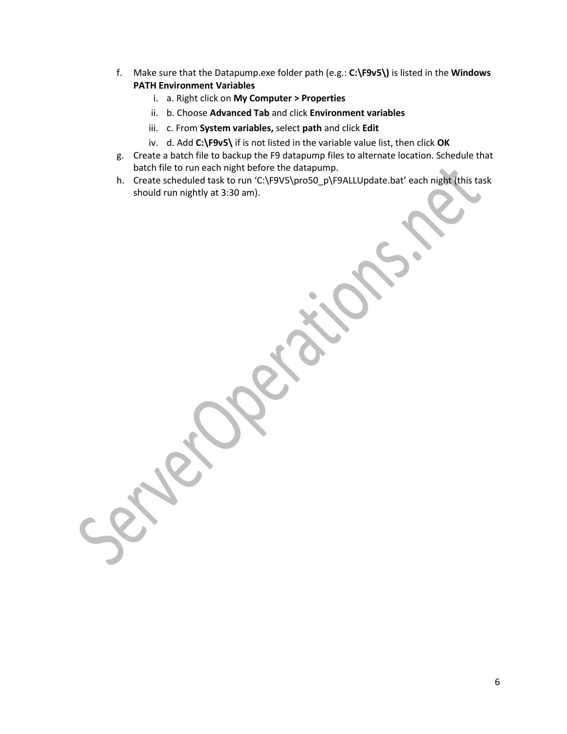- f. Make sure that the Datapump.exe folder path (e.g.: **C:\F9v5\)** is listed in the **Windows PATH Environment Variables** 
	- i. a. Right click on **My Computer > Properties**
	- ii. b. Choose **Advanced Tab** and click **Environment variables**
	- iii. c. From **System variables,** select **path** and click **Edit**
	- iv. d. Add **C:\F9v5\** if is not listed in the variable value list, then click **OK**
- g. Create a batch file to backup the F9 datapump files to alternate location. Schedule that batch file to run each night before the datapump.
- h. Create scheduled task to run 'C:\F9V5\pro50\_p\F9ALLUpdate.bat' each night (this task should run nightly at 3:30 am).

6